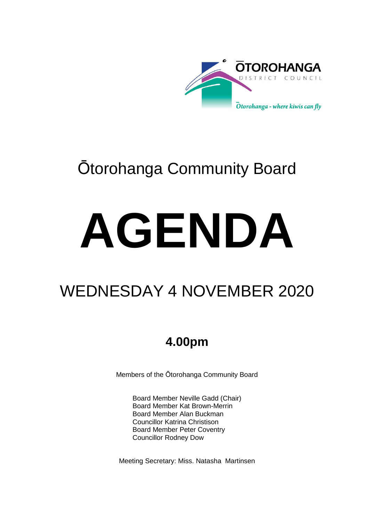

## Ōtorohanga Community Board

# **AGENDA**

## WEDNESDAY 4 NOVEMBER 2020

## **4.00pm**

Members of the Ōtorohanga Community Board

Board Member Neville Gadd (Chair) Board Member Kat Brown-Merrin Board Member Alan Buckman Councillor Katrina Christison Board Member Peter Coventry Councillor Rodney Dow

Meeting Secretary: Miss. Natasha Martinsen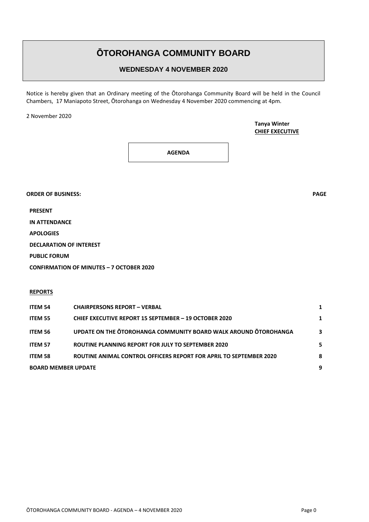### **ŌTOROHANGA COMMUNITY BOARD**

#### **WEDNESDAY 4 NOVEMBER 2020**

Notice is hereby given that an Ordinary meeting of the Ōtorohanga Community Board will be held in the Council Chambers, 17 Maniapoto Street, Ōtorohanga on Wednesday 4 November 2020 commencing at 4pm.

2 November 2020

**Tanya Winter CHIEF EXECUTIVE**

**AGENDA**

**ORDER OF BUSINESS: PAGE**

**PRESENT**

**IN ATTENDANCE**

**APOLOGIES**

**DECLARATION OF INTEREST**

**PUBLIC FORUM**

**CONFIRMATION OF MINUTES – 7 OCTOBER 2020**

#### **REPORTS**

| <b>ITEM 54</b>             | <b>CHAIRPERSONS REPORT - VERBAL</b>                                |   |
|----------------------------|--------------------------------------------------------------------|---|
| <b>ITEM 55</b>             | CHIEF EXECUTIVE REPORT 15 SEPTEMBER - 19 OCTOBER 2020              |   |
| <b>ITEM 56</b>             | UPDATE ON THE OTOROHANGA COMMUNITY BOARD WALK AROUND OTOROHANGA    | 3 |
| <b>ITEM 57</b>             | ROUTINE PLANNING REPORT FOR JULY TO SEPTEMBER 2020                 |   |
| <b>ITEM 58</b>             | ROUTINE ANIMAL CONTROL OFFICERS REPORT FOR APRIL TO SEPTEMBER 2020 | 8 |
| <b>BOARD MEMBER UPDATE</b> |                                                                    | 9 |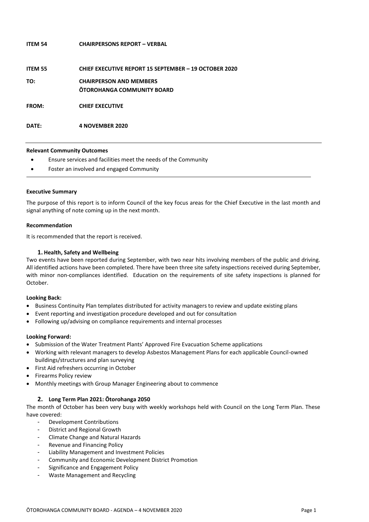| IIEM 54      | CHAIRPERSONS REPORT – VERBAL                                        |
|--------------|---------------------------------------------------------------------|
| ITEM 55      | <b>CHIEF EXECUTIVE REPORT 15 SEPTEMBER - 19 OCTOBER 2020</b>        |
| TO:          | <b>CHAIRPERSON AND MEMBERS</b><br><b>OTOROHANGA COMMUNITY BOARD</b> |
| <b>FROM:</b> | <b>CHIEF EXECUTIVE</b>                                              |

#### **Relevant Community Outcomes**

**DATE: 4 NOVEMBER 2020**

- Ensure services and facilities meet the needs of the Community
- Foster an involved and engaged Community

**ITEM 54 CHAIRPERSONS REPORT – VERBAL**

#### **Executive Summary**

The purpose of this report is to inform Council of the key focus areas for the Chief Executive in the last month and signal anything of note coming up in the next month.

#### **Recommendation**

It is recommended that the report is received.

#### **1. Health, Safety and Wellbeing**

Two events have been reported during September, with two near hits involving members of the public and driving. All identified actions have been completed. There have been three site safety inspections received during September, with minor non-compliances identified. Education on the requirements of site safety inspections is planned for October.

#### **Looking Back:**

- Business Continuity Plan templates distributed for activity managers to review and update existing plans
- Event reporting and investigation procedure developed and out for consultation
- Following up/advising on compliance requirements and internal processes

#### **Looking Forward:**

- Submission of the Water Treatment Plants' Approved Fire Evacuation Scheme applications
- Working with relevant managers to develop Asbestos Management Plans for each applicable Council-owned buildings/structures and plan surveying
- First Aid refreshers occurring in October
- **•** Firearms Policy review
- Monthly meetings with Group Manager Engineering about to commence

#### **2. Long Term Plan 2021: Ōtorohanga 2050**

The month of October has been very busy with weekly workshops held with Council on the Long Term Plan. These have covered:

- Development Contributions
- District and Regional Growth
- Climate Change and Natural Hazards
- Revenue and Financing Policy
- Liability Management and Investment Policies
- Community and Economic Development District Promotion
- Significance and Engagement Policy
- Waste Management and Recycling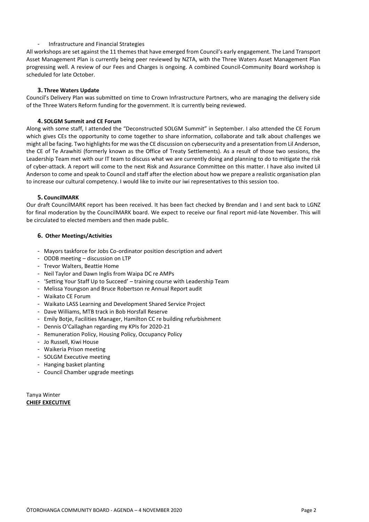#### - Infrastructure and Financial Strategies

All workshops are set against the 11 themes that have emerged from Council's early engagement. The Land Transport Asset Management Plan is currently being peer reviewed by NZTA, with the Three Waters Asset Management Plan progressing well. A review of our Fees and Charges is ongoing. A combined Council-Community Board workshop is scheduled for late October.

#### **3. Three Waters Update**

Council's Delivery Plan was submitted on time to Crown Infrastructure Partners, who are managing the delivery side of the Three Waters Reform funding for the government. It is currently being reviewed.

#### **4. SOLGM Summit and CE Forum**

Along with some staff, I attended the "Deconstructed SOLGM Summit" in September. I also attended the CE Forum which gives CEs the opportunity to come together to share information, collaborate and talk about challenges we might all be facing. Two highlights for me was the CE discussion on cybersecurity and a presentation from Lil Anderson, the CE of Te Arawhiti (formerly known as the Office of Treaty Settlements). As a result of those two sessions, the Leadership Team met with our IT team to discuss what we are currently doing and planning to do to mitigate the risk of cyber-attack. A report will come to the next Risk and Assurance Committee on this matter. I have also invited Lil Anderson to come and speak to Council and staff after the election about how we prepare a realistic organisation plan to increase our cultural competency. I would like to invite our iwi representatives to this session too.

#### **5. CouncilMARK**

Our draft CouncilMARK report has been received. It has been fact checked by Brendan and I and sent back to LGNZ for final moderation by the CouncilMARK board. We expect to receive our final report mid-late November. This will be circulated to elected members and then made public.

#### **6. Other Meetings/Activities**

- Mayors taskforce for Jobs Co-ordinator position description and advert
- ODDB meeting discussion on LTP
- Trevor Walters, Beattie Home
- Neil Taylor and Dawn Inglis from Waipa DC re AMPs
- 'Setting Your Staff Up to Succeed' training course with Leadership Team
- Melissa Youngson and Bruce Robertson re Annual Report audit
- Waikato CE Forum
- Waikato LASS Learning and Development Shared Service Project
- Dave Williams, MTB track in Bob Horsfall Reserve
- Emily Botje, Facilities Manager, Hamilton CC re building refurbishment
- Dennis O'Callaghan regarding my KPIs for 2020-21
- Remuneration Policy, Housing Policy, Occupancy Policy
- Jo Russell, Kiwi House
- Waikeria Prison meeting
- SOLGM Executive meeting
- Hanging basket planting
- Council Chamber upgrade meetings

Tanya Winter **CHIEF EXECUTIVE**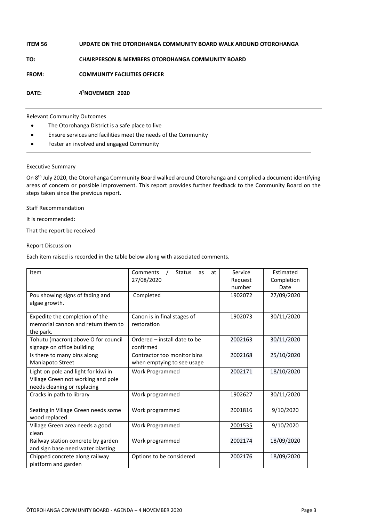| ITEM 56      | UPDATE ON THE OTOROHANGA COMMUNITY BOARD WALK AROUND OTOROHANGA |
|--------------|-----------------------------------------------------------------|
| TO:          | <b>CHAIRPERSON &amp; MEMBERS OTOROHANGA COMMUNITY BOARD</b>     |
| <b>FROM:</b> | <b>COMMUNITY FACILITIES OFFICER</b>                             |
| DATE:        | 4 <sup>T</sup> NOVEMBER 2020                                    |

#### Relevant Community Outcomes

- The Otorohanga District is a safe place to live
- Ensure services and facilities meet the needs of the Community
- Foster an involved and engaged Community

#### Executive Summary

On 8<sup>th</sup> July 2020, the Otorohanga Community Board walked around Otorohanga and complied a document identifying areas of concern or possible improvement. This report provides further feedback to the Community Board on the steps taken since the previous report.

Staff Recommendation

It is recommended:

That the report be received

#### Report Discussion

Each item raised is recorded in the table below along with associated comments.

| Item                                | Comments<br><b>Status</b><br>at<br>as | Service               | Estimated  |  |
|-------------------------------------|---------------------------------------|-----------------------|------------|--|
|                                     | 27/08/2020                            | Request               | Completion |  |
|                                     |                                       | number                | Date       |  |
| Pou showing signs of fading and     | Completed                             | 1902072               | 27/09/2020 |  |
| algae growth.                       |                                       |                       |            |  |
| Expedite the completion of the      | Canon is in final stages of           | 1902073               | 30/11/2020 |  |
| memorial cannon and return them to  | restoration                           |                       |            |  |
| the park.                           |                                       |                       |            |  |
| Tohutu (macron) above O for council | Ordered - install date to be          | 2002163               | 30/11/2020 |  |
| signage on office building          | confirmed                             |                       |            |  |
| Is there to many bins along         | Contractor too monitor bins           | 2002168               | 25/10/2020 |  |
| Maniapoto Street                    | when emptying to see usage            |                       |            |  |
| Light on pole and light for kiwi in | Work Programmed                       | 2002171               | 18/10/2020 |  |
| Village Green not working and pole  |                                       |                       |            |  |
| needs cleaning or replacing         |                                       |                       |            |  |
| Cracks in path to library           | Work programmed                       | 1902627               | 30/11/2020 |  |
|                                     |                                       |                       |            |  |
| Seating in Village Green needs some | Work programmed                       | 2001816               | 9/10/2020  |  |
| wood replaced                       |                                       |                       |            |  |
| Village Green area needs a good     | <b>Work Programmed</b>                | 2001535               | 9/10/2020  |  |
| clean                               |                                       |                       |            |  |
| Railway station concrete by garden  | Work programmed                       | 2002174               | 18/09/2020 |  |
| and sign base need water blasting   |                                       |                       |            |  |
| Chipped concrete along railway      | Options to be considered              | 2002176<br>18/09/2020 |            |  |
| platform and garden                 |                                       |                       |            |  |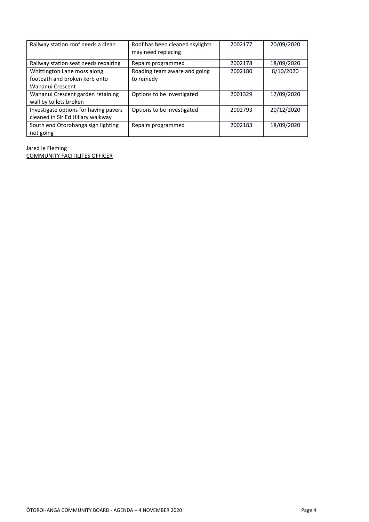| Railway station roof needs a clean                                               | Roof has been cleaned skylights<br>may need replacing | 2002177 | 20/09/2020 |
|----------------------------------------------------------------------------------|-------------------------------------------------------|---------|------------|
| Railway station seat needs repairing                                             | Repairs programmed                                    | 2002178 | 18/09/2020 |
| Whittington Lane moss along<br>footpath and broken kerb onto<br>Wahanui Crescent | Roading team aware and going<br>to remedy             | 2002180 | 8/10/2020  |
| Wahanui Crescent garden retaining<br>wall by toilets broken                      | Options to be investigated                            | 2001329 | 17/09/2020 |
| Investigate options for having pavers<br>cleaned in Sir Ed Hillary walkway       | Options to be investigated                            | 2002793 | 20/12/2020 |
| South end Otorohanga sign lighting<br>not going                                  | Repairs programmed                                    | 2002183 | 18/09/2020 |

Jared le Fleming

COMMUNITY FACITILITES OFFICER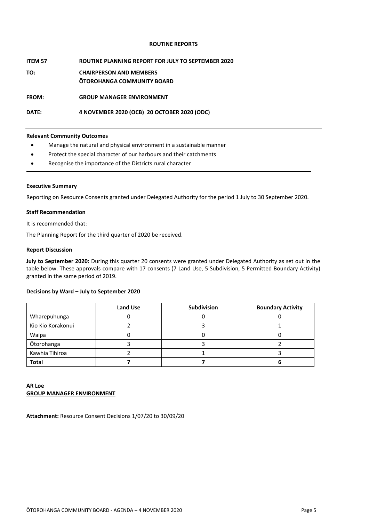#### **ROUTINE REPORTS**

#### **ITEM 57 ROUTINE PLANNING REPORT FOR JULY TO SEPTEMBER 2020**

**TO: CHAIRPERSON AND MEMBERS ŌTOROHANGA COMMUNITY BOARD**

**FROM: GROUP MANAGER ENVIRONMENT** 

#### **DATE: 4 NOVEMBER 2020 (OCB) 20 OCTOBER 2020 (ODC)**

#### **Relevant Community Outcomes**

- Manage the natural and physical environment in a sustainable manner
- Protect the special character of our harbours and their catchments
- Recognise the importance of the Districts rural character

#### **Executive Summary**

Reporting on Resource Consents granted under Delegated Authority for the period 1 July to 30 September 2020.

#### **Staff Recommendation**

It is recommended that:

The Planning Report for the third quarter of 2020 be received.

#### **Report Discussion**

**July to September 2020:** During this quarter 20 consents were granted under Delegated Authority as set out in the table below. These approvals compare with 17 consents (7 Land Use, 5 Subdivision, 5 Permitted Boundary Activity) granted in the same period of 2019.

#### **Decisions by Ward – July to September 2020**

|                   | <b>Land Use</b> | <b>Subdivision</b> | <b>Boundary Activity</b> |
|-------------------|-----------------|--------------------|--------------------------|
| Wharepuhunga      |                 |                    |                          |
| Kio Kio Korakonui |                 |                    |                          |
| Waipa             |                 |                    |                          |
| Ōtorohanga        |                 |                    |                          |
| Kawhia Tihiroa    |                 |                    |                          |
| <b>Total</b>      |                 |                    |                          |

#### **AR Loe GROUP MANAGER ENVIRONMENT**

**Attachment:** Resource Consent Decisions 1/07/20 to 30/09/20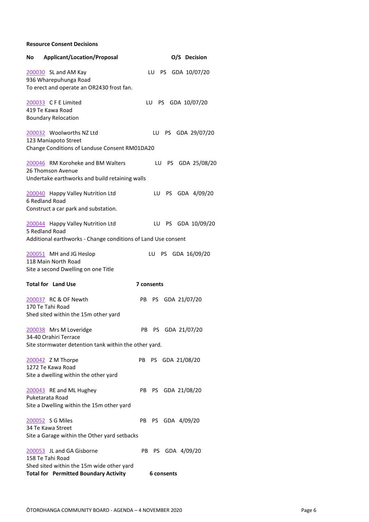**Resource Consent Decisions**

| <b>Applicant/Location/Proposal</b><br>No                           | O/S Decision           |
|--------------------------------------------------------------------|------------------------|
| 200030 SL and AM Kay                                               | LU PS GDA 10/07/20     |
| 936 Wharepuhunga Road<br>To erect and operate an OR2430 frost fan. |                        |
| 200033 CFE Limited<br>419 Te Kawa Road                             | LU PS GDA 10/07/20     |
| <b>Boundary Relocation</b>                                         |                        |
| 200032 Woolworths NZ Ltd<br>123 Maniapoto Street                   | LU PS GDA 29/07/20     |
| Change Conditions of Landuse Consent RM01DA20                      |                        |
| 200046 RM Koroheke and BM Walters<br>26 Thomson Avenue             | LU<br>PS GDA 25/08/20  |
| Undertake earthworks and build retaining walls                     |                        |
| 200040 Happy Valley Nutrition Ltd<br>6 Redland Road                | LU PS GDA 4/09/20      |
| Construct a car park and substation.                               |                        |
| 200044 Happy Valley Nutrition Ltd<br>5 Redland Road                | LU PS GDA 10/09/20     |
| Additional earthworks - Change conditions of Land Use consent      |                        |
| 200051 MH and JG Heslop<br>118 Main North Road                     | LU PS GDA 16/09/20     |
| Site a second Dwelling on one Title                                |                        |
| <b>Total for Land Use</b>                                          | 7 consents             |
| 200037 RC & OF Newth<br>170 Te Tahi Road                           | PS GDA 21/07/20<br>PB. |
| Shed sited within the 15m other yard                               |                        |
| 200038 Mrs M Loveridge<br>34-40 Orahiri Terrace                    | PB<br>PS GDA 21/07/20  |
| Site stormwater detention tank within the other yard.              |                        |
|                                                                    |                        |
| 200042 Z M Thorpe<br>1272 Te Kawa Road                             | PS GDA 21/08/20<br>PB  |
| Site a dwelling within the other yard                              |                        |
| 200043 RE and ML Hughey                                            | PB<br>PS GDA 21/08/20  |
| Puketarata Road                                                    |                        |
| Site a Dwelling within the 15m other yard                          |                        |
| 200052 S G Miles                                                   | PB PS GDA 4/09/20      |
| 34 Te Kawa Street                                                  |                        |
| Site a Garage within the Other yard setbacks                       |                        |
| 200053 JL and GA Gisborne                                          | PB PS GDA 4/09/20      |
| 158 Te Tahi Road<br>Shed sited within the 15m wide other yard      |                        |
| <b>Total for Permitted Boundary Activity</b>                       | 6 consents             |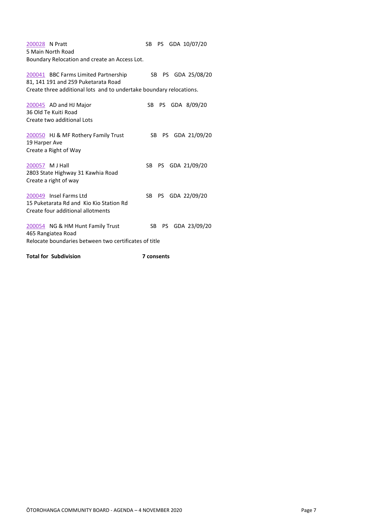[200028](https://otorohanga.magiqcloud.com/cgi-bin/rg6/rg6ep?200028) N Pratt SB PS GDA 10/07/20 5 Main North Road Boundary Relocation and create an Access Lot. [200041](https://otorohanga.magiqcloud.com/cgi-bin/rg6/rg6ep?200041) BBC Farms Limited Partnership SB PS GDA 25/08/20 81, 141 191 and 259 Puketarata Road Create three additional lots and to undertake boundary relocations. [200045](https://otorohanga.magiqcloud.com/cgi-bin/rg6/rg6ep?200045) AD and HJ Major SB PS GDA 8/09/20 36 Old Te Kuiti Road Create two additional Lots [200050](https://otorohanga.magiqcloud.com/cgi-bin/rg6/rg6ep?200050) HJ & MF Rothery Family Trust SB PS GDA 21/09/20 19 Harper Ave Create a Right of Way [200057](https://otorohanga.magiqcloud.com/cgi-bin/rg6/rg6ep?200057) M J Hall SB PS GDA 21/09/20 2803 State Highway 31 Kawhia Road Create a right of way [200049](https://otorohanga.magiqcloud.com/cgi-bin/rg6/rg6ep?200049) Insel Farms Ltd SB PS GDA 22/09/20 15 Puketarata Rd and Kio Kio Station Rd Create four additional allotments [200054](https://otorohanga.magiqcloud.com/cgi-bin/rg6/rg6ep?200054) NG & HM Hunt Family Trust SB PS GDA 23/09/20 465 Rangiatea Road Relocate boundaries between two certificates of title Total for Subdivision **7** consents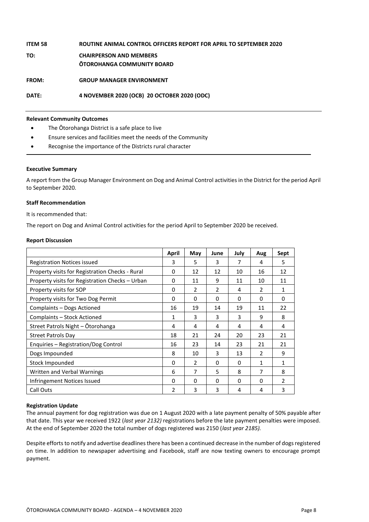| <b>ITEM 58</b> | ROUTINE ANIMAL CONTROL OFFICERS REPORT FOR APRIL TO SEPTEMBER 2020  |
|----------------|---------------------------------------------------------------------|
| TO:            | <b>CHAIRPERSON AND MEMBERS</b><br><b>OTOROHANGA COMMUNITY BOARD</b> |
| <b>FROM:</b>   | <b>GROUP MANAGER ENVIRONMENT</b>                                    |
| DATE:          | 4 NOVEMBER 2020 (OCB) 20 OCTOBER 2020 (ODC)                         |

#### **Relevant Community Outcomes**

- The Ōtorohanga District is a safe place to live
- Ensure services and facilities meet the needs of the Community
- Recognise the importance of the Districts rural character

#### **Executive Summary**

A report from the Group Manager Environment on Dog and Animal Control activities in the District for the period April to September 2020.

#### **Staff Recommendation**

It is recommended that:

The report on Dog and Animal Control activities for the period April to September 2020 be received.

#### **Report Discussion**

|                                                 | April         | May           | June     | July | Aug | Sept          |
|-------------------------------------------------|---------------|---------------|----------|------|-----|---------------|
| <b>Registration Notices issued</b>              |               | 5             | 3        | 7    | 4   | 5             |
| Property visits for Registration Checks - Rural | 0             | 12            | 12       | 10   | 16  | 12            |
| Property visits for Registration Checks - Urban | $\Omega$      | 11            | 9        | 11   | 10  | 11            |
| Property visits for SOP                         | 0             | 2             | 2        | 4    | 2   | 1             |
| Property visits for Two Dog Permit              | 0             | 0             | 0        | 0    | 0   | 0             |
| Complaints – Dogs Actioned                      | 16            | 19            | 14       | 19   | 11  | 22            |
| Complaints - Stock Actioned                     | 1             | 3             | 3        | 3    | 9   | 8             |
| Street Patrols Night - Otorohanga               | 4             | 4             | 4        | 4    | 4   | 4             |
| <b>Street Patrols Day</b>                       | 18            | 21            | 24       | 20   | 23  | 21            |
| Enquiries - Registration/Dog Control            | 16            | 23            | 14       | 23   | 21  | 21            |
| Dogs Impounded                                  | 8             | 10            | 3        | 13   | 2   | 9             |
| Stock Impounded                                 | $\Omega$      | $\mathcal{P}$ | $\Omega$ | 0    | 1   | 1             |
| Written and Verbal Warnings                     | 6             | 7             | 5        | 8    | 7   | 8             |
| Infringement Notices Issued                     |               | 0             | 0        | 0    | 0   | $\mathfrak z$ |
| Call Outs                                       | $\mathfrak z$ | 3             | 3        | 4    | 4   | 3             |

#### **Registration Update**

The annual payment for dog registration was due on 1 August 2020 with a late payment penalty of 50% payable after that date. This year we received 1922 (*last year 2132)* registrations before the late payment penalties were imposed. At the end of September 2020 the total number of dogs registered was 2150 (*last year 2185).*

Despite efforts to notify and advertise deadlines there has been a continued decrease in the number of dogs registered on time. In addition to newspaper advertising and Facebook, staff are now texting owners to encourage prompt payment.